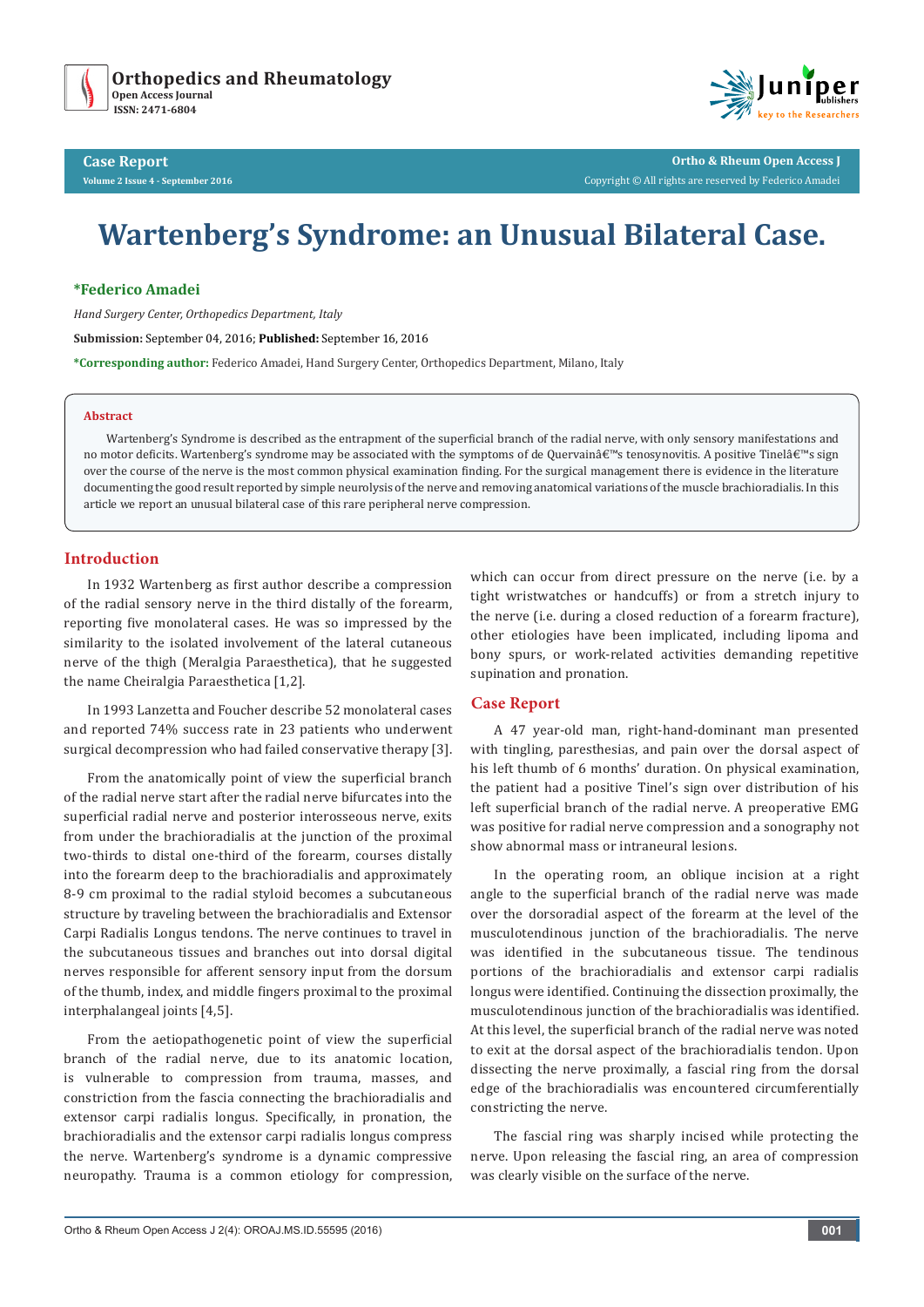



**Ortho & Rheum Open Access J** Copyright © All rights are reserved by Federico Amadei

# **Wartenberg's Syndrome: an Unusual Bilateral Case.**

## **\*Federico Amadei**

*Hand Surgery Center, Orthopedics Department, Italy*

**Submission:** September 04, 2016; **Published:** September 16, 2016

**\*Corresponding author:** Federico Amadei, Hand Surgery Center, Orthopedics Department, Milano, Italy

#### **Abstract**

Wartenberg's Syndrome is described as the entrapment of the superficial branch of the radial nerve, with only sensory manifestations and no motor deficits. Wartenberg's syndrome may be associated with the symptoms of de Quervain's tenosynovitis. A positive Tinel's sign over the course of the nerve is the most common physical examination finding. For the surgical management there is evidence in the literature documenting the good result reported by simple neurolysis of the nerve and removing anatomical variations of the muscle brachioradialis. In this article we report an unusual bilateral case of this rare peripheral nerve compression.

# **Introduction**

In 1932 Wartenberg as first author describe a compression of the radial sensory nerve in the third distally of the forearm, reporting five monolateral cases. He was so impressed by the similarity to the isolated involvement of the lateral cutaneous nerve of the thigh (Meralgia Paraesthetica), that he suggested the name Cheiralgia Paraesthetica [1,2].

In 1993 Lanzetta and Foucher describe 52 monolateral cases and reported 74% success rate in 23 patients who underwent surgical decompression who had failed conservative therapy [3].

From the anatomically point of view the superficial branch of the radial nerve start after the radial nerve bifurcates into the superficial radial nerve and posterior interosseous nerve, exits from under the brachioradialis at the junction of the proximal two-thirds to distal one-third of the forearm, courses distally into the forearm deep to the brachioradialis and approximately 8-9 cm proximal to the radial styloid becomes a subcutaneous structure by traveling between the brachioradialis and Extensor Carpi Radialis Longus tendons. The nerve continues to travel in the subcutaneous tissues and branches out into dorsal digital nerves responsible for afferent sensory input from the dorsum of the thumb, index, and middle fingers proximal to the proximal interphalangeal joints [4,5].

From the aetiopathogenetic point of view the superficial branch of the radial nerve, due to its anatomic location, is vulnerable to compression from trauma, masses, and constriction from the fascia connecting the brachioradialis and extensor carpi radialis longus. Specifically, in pronation, the brachioradialis and the extensor carpi radialis longus compress the nerve. Wartenberg's syndrome is a dynamic compressive neuropathy. Trauma is a common etiology for compression,

which can occur from direct pressure on the nerve (i.e. by a tight wristwatches or handcuffs) or from a stretch injury to the nerve (i.e. during a closed reduction of a forearm fracture), other etiologies have been implicated, including lipoma and bony spurs, or work-related activities demanding repetitive supination and pronation.

# **Case Report**

A 47 year-old man, right-hand-dominant man presented with tingling, paresthesias, and pain over the dorsal aspect of his left thumb of 6 months' duration. On physical examination, the patient had a positive Tinel's sign over distribution of his left superficial branch of the radial nerve. A preoperative EMG was positive for radial nerve compression and a sonography not show abnormal mass or intraneural lesions.

In the operating room, an oblique incision at a right angle to the superficial branch of the radial nerve was made over the dorsoradial aspect of the forearm at the level of the musculotendinous junction of the brachioradialis. The nerve was identified in the subcutaneous tissue. The tendinous portions of the brachioradialis and extensor carpi radialis longus were identified. Continuing the dissection proximally, the musculotendinous junction of the brachioradialis was identified. At this level, the superficial branch of the radial nerve was noted to exit at the dorsal aspect of the brachioradialis tendon. Upon dissecting the nerve proximally, a fascial ring from the dorsal edge of the brachioradialis was encountered circumferentially constricting the nerve.

The fascial ring was sharply incised while protecting the nerve. Upon releasing the fascial ring, an area of compression was clearly visible on the surface of the nerve.